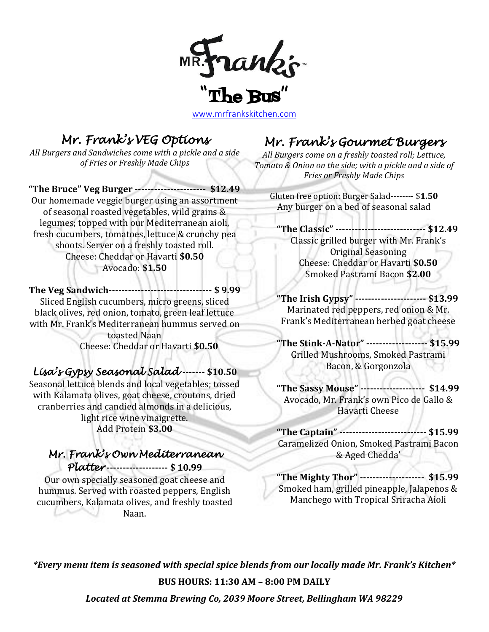

[www.mrfrankskitchen.com](http://www.mrfrankskitchen.com/)

## *Mr. Frank's VEG Options*

*All Burgers and Sandwiches come with a pickle and a side of Fries or Freshly Made Chips*

**"The Bruce" Veg Burger ---------------------- \$12.49** Our homemade veggie burger using an assortment of seasonal roasted vegetables, wild grains & legumes; topped with our Mediterranean aioli, fresh cucumbers, tomatoes, lettuce & crunchy pea shoots. Server on a freshly toasted roll. Cheese: Cheddar or Havarti **\$0.50** Avocado: **\$1.50**

**The Veg Sandwich-------------------------------- \$ 9.99** Sliced English cucumbers, micro greens, sliced black olives, red onion, tomato, green leaf lettuce with Mr. Frank's Mediterranean hummus served on toasted Naan Cheese: Cheddar or Havarti **\$0.50**

### *Lisa's Gypsy Seasonal Salad* **------- \$10.50**

Seasonal lettuce blends and local vegetables; tossed with Kalamata olives, goat cheese, croutons, dried cranberries and candied almonds in a delicious, light rice wine vinaigrette. Add Protein **\$3.00**

#### *Mr. Frank's Own Mediterranean Platter* **------------------- \$ 10.99**

Our own specially seasoned goat cheese and hummus. Served with roasted peppers, English cucumbers, Kalamata olives, and freshly toasted -91 Naan.

# *Mr. Frank's Gourmet Burgers*

*All Burgers come on a freshly toasted roll; Lettuce, Tomato & Onion on the side; with a pickle and a side of Fries or Freshly Made Chips*

Gluten free option: Burger Salad-------- \$**1.50** Any burger on a bed of seasonal salad

**"The Classic" ---------------------------- \$12.49** Classic grilled burger with Mr. Frank's Original Seasoning Cheese: Cheddar or Havarti **\$0.50** Smoked Pastrami Bacon **\$2.00**

**"The Irish Gypsy" ---------------------- \$13.99** Marinated red peppers, red onion & Mr. Frank's Mediterranean herbed goat cheese

**"The Stink-A-Nator" ------------------- \$15.99** Grilled Mushrooms, Smoked Pastrami Bacon, & Gorgonzola

**"The Sassy Mouse" -------------------- \$14.99** Avocado, Mr. Frank's own Pico de Gallo & Havarti Cheese

**"The Captain" --------------------------- \$15.99** Caramelized Onion, Smoked Pastrami Bacon & Aged Chedda'

**"The Mighty Thor" -------------------- \$15.99** Smoked ham, grilled pineapple, Jalapenos & Manchego with Tropical Sriracha Aioli

*\*Every menu item is seasoned with special spice blends from our locally made Mr. Frank's Kitchen\**

**BUS HOURS: 11:30 AM – 8:00 PM DAILY**

*Located at Stemma Brewing Co, 2039 Moore Street, Bellingham WA 98229*